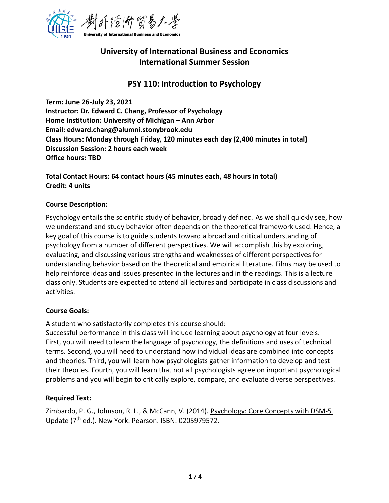

# **University of International Business and Economics International Summer Session**

## **PSY 110: Introduction to Psychology**

**Term: June 26-July 23, 2021 Instructor: Dr. Edward C. Chang, Professor of Psychology Home Institution: University of Michigan – Ann Arbor Email: edward.chang@alumni.stonybrook.edu Class Hours: Monday through Friday, 120 minutes each day (2,400 minutes in total) Discussion Session: 2 hours each week Office hours: TBD**

**Total Contact Hours: 64 contact hours (45 minutes each, 48 hours in total) Credit: 4 units**

#### **Course Description:**

Psychology entails the scientific study of behavior, broadly defined. As we shall quickly see, how we understand and study behavior often depends on the theoretical framework used. Hence, a key goal of this course is to guide students toward a broad and critical understanding of psychology from a number of different perspectives. We will accomplish this by exploring, evaluating, and discussing various strengths and weaknesses of different perspectives for understanding behavior based on the theoretical and empirical literature. Films may be used to help reinforce ideas and issues presented in the lectures and in the readings. This is a lecture class only. Students are expected to attend all lectures and participate in class discussions and activities.

## **Course Goals:**

A student who satisfactorily completes this course should:

Successful performance in this class will include learning about psychology at four levels. First, you will need to learn the language of psychology, the definitions and uses of technical terms. Second, you will need to understand how individual ideas are combined into concepts and theories. Third, you will learn how psychologists gather information to develop and test their theories. Fourth, you will learn that not all psychologists agree on important psychological problems and you will begin to critically explore, compare, and evaluate diverse perspectives.

## **Required Text:**

Zimbardo, P. G., Johnson, R. L., & McCann, V. (2014). Psychology: Core Concepts with DSM-5 Update (7<sup>th</sup> ed.). New York: Pearson. ISBN: 0205979572.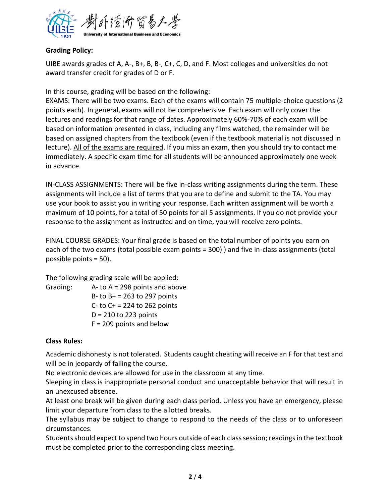

## **Grading Policy:**

UIBE awards grades of A, A-, B+, B, B-, C+, C, D, and F. Most colleges and universities do not award transfer credit for grades of D or F.

In this course, grading will be based on the following:

EXAMS: There will be two exams. Each of the exams will contain 75 multiple-choice questions (2 points each). In general, exams will not be comprehensive. Each exam will only cover the lectures and readings for that range of dates. Approximately 60%-70% of each exam will be based on information presented in class, including any films watched, the remainder will be based on assigned chapters from the textbook (even if the textbook material is not discussed in lecture). All of the exams are required. If you miss an exam, then you should try to contact me immediately. A specific exam time for all students will be announced approximately one week in advance.

IN-CLASS ASSIGNMENTS: There will be five in-class writing assignments during the term. These assignments will include a list of terms that you are to define and submit to the TA. You may use your book to assist you in writing your response. Each written assignment will be worth a maximum of 10 points, for a total of 50 points for all 5 assignments. If you do not provide your response to the assignment as instructed and on time, you will receive zero points.

FINAL COURSE GRADES: Your final grade is based on the total number of points you earn on each of the two exams (total possible exam points = 300) ) and five in-class assignments (total possible points = 50).

The following grading scale will be applied: Grading: A- to A = 298 points and above B- to  $B+ = 263$  to 297 points C- to C+ = 224 to 262 points  $D = 210$  to 223 points F = 209 points and below

## **Class Rules:**

Academic dishonesty is not tolerated. Students caught cheating will receive an F for that test and will be in jeopardy of failing the course.

No electronic devices are allowed for use in the classroom at any time.

Sleeping in class is inappropriate personal conduct and unacceptable behavior that will result in an unexcused absence.

At least one break will be given during each class period. Unless you have an emergency, please limit your departure from class to the allotted breaks.

The syllabus may be subject to change to respond to the needs of the class or to unforeseen circumstances.

Students should expect to spend two hours outside of each class session; readings in the textbook must be completed prior to the corresponding class meeting.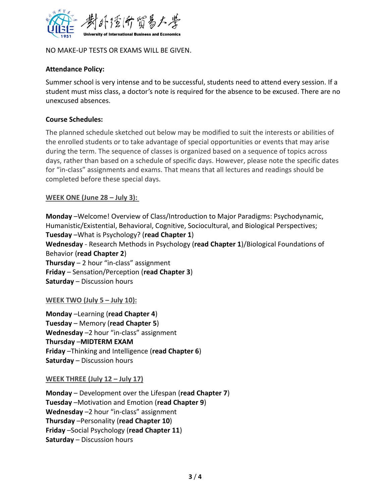

NO MAKE-UP TESTS OR EXAMS WILL BE GIVEN.

#### **Attendance Policy:**

Summer school is very intense and to be successful, students need to attend every session. If a student must miss class, a doctor's note is required for the absence to be excused. There are no unexcused absences.

#### **Course Schedules:**

The planned schedule sketched out below may be modified to suit the interests or abilities of the enrolled students or to take advantage of special opportunities or events that may arise during the term. The sequence of classes is organized based on a sequence of topics across days, rather than based on a schedule of specific days. However, please note the specific dates for "in-class" assignments and exams. That means that all lectures and readings should be completed before these special days.

#### **WEEK ONE (June 28 – July 3):**

**Monday** –Welcome! Overview of Class/Introduction to Major Paradigms: Psychodynamic, Humanistic/Existential, Behavioral, Cognitive, Sociocultural, and Biological Perspectives; **Tuesday** –What is Psychology? (**read Chapter 1**) **Wednesday** - Research Methods in Psychology (**read Chapter 1**)/Biological Foundations of Behavior (**read Chapter 2**) **Thursday** – 2 hour "in-class" assignment **Friday** – Sensation/Perception (**read Chapter 3**) **Saturday** – Discussion hours

#### **WEEK TWO (July 5 – July 10):**

**Monday** –Learning (**read Chapter 4**) **Tuesday** – Memory (**read Chapter 5**) Wednesday -2 hour "in-class" assignment **Thursday** –**MIDTERM EXAM Friday** –Thinking and Intelligence (**read Chapter 6**) **Saturday** – Discussion hours

#### **WEEK THREE (July 12 – July 17)**

**Monday** – Development over the Lifespan (**read Chapter 7**) **Tuesday** –Motivation and Emotion (**read Chapter 9**) **Wednesday** –2 hour "in-class" assignment **Thursday** –Personality (**read Chapter 10**) **Friday** –Social Psychology (**read Chapter 11**) **Saturday** – Discussion hours